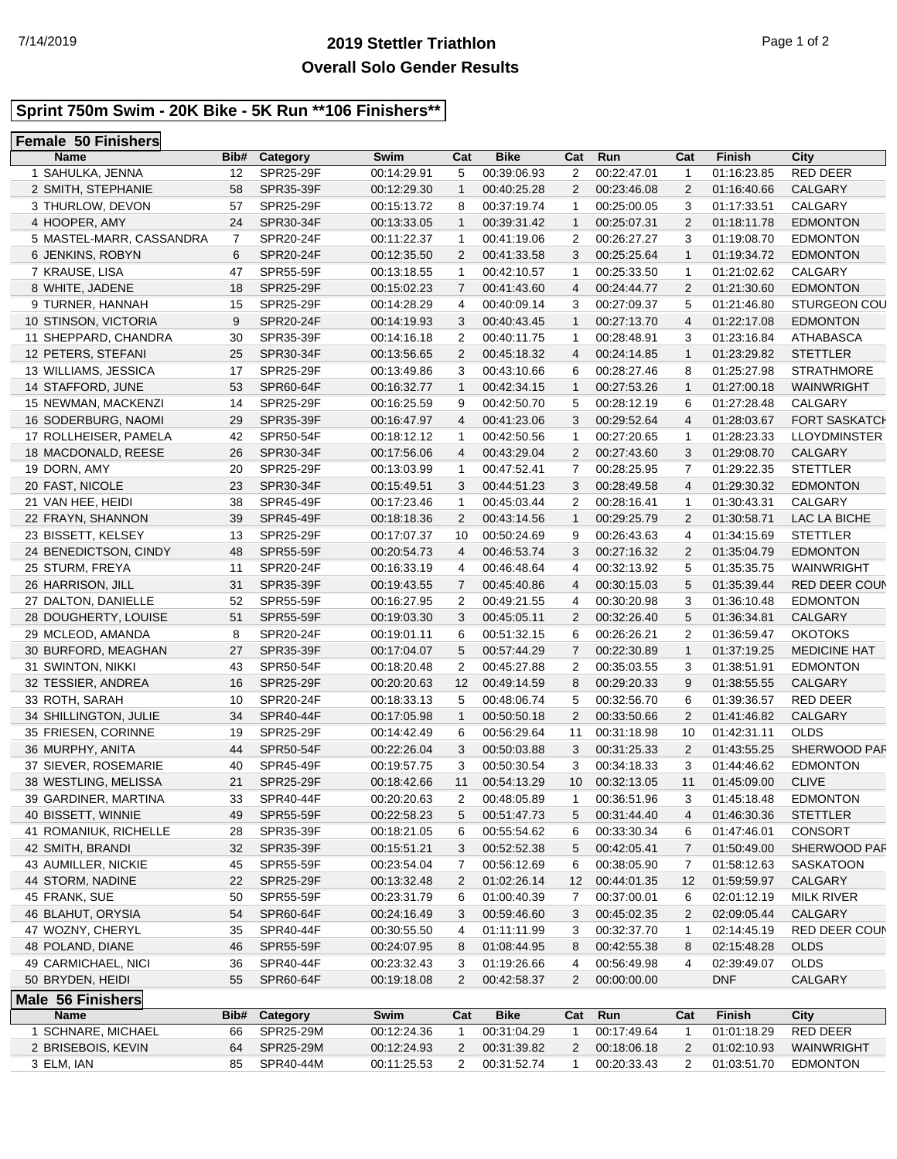# **2019 Stettler Triathlon** 7/14/2019 Page 1 of 2 **Overall Solo Gender Results**

# **Sprint 750m Swim - 20K Bike - 5K Run \*\*106 Finishers\*\***

#### **Female 50 Finishers**

| <b>Name</b>              | Bib# | Category         | Swim        | Cat            | <b>Bike</b> | Cat            | Run                        | Cat            | Finish      | City                 |
|--------------------------|------|------------------|-------------|----------------|-------------|----------------|----------------------------|----------------|-------------|----------------------|
| 1 SAHULKA, JENNA         | 12   | SPR25-29F        | 00:14:29.91 | 5              | 00:39:06.93 | 2              | 00:22:47.01                | $\mathbf{1}$   | 01:16:23.85 | <b>RED DEER</b>      |
| 2 SMITH, STEPHANIE       | 58   | SPR35-39F        | 00:12:29.30 | $\mathbf{1}$   | 00:40:25.28 | $\overline{2}$ | 00:23:46.08                | 2              | 01:16:40.66 | CALGARY              |
| 3 THURLOW, DEVON         | 57   | SPR25-29F        | 00:15:13.72 | 8              | 00:37:19.74 | $\mathbf{1}$   | 00:25:00.05                | 3              | 01:17:33.51 | CALGARY              |
| 4 HOOPER, AMY            | 24   | SPR30-34F        | 00:13:33.05 | $\mathbf{1}$   | 00:39:31.42 | $\mathbf{1}$   | 00:25:07.31                | $\overline{2}$ | 01:18:11.78 | <b>EDMONTON</b>      |
| 5 MASTEL-MARR, CASSANDRA | 7    | SPR20-24F        | 00:11:22.37 | 1              | 00:41:19.06 | $\overline{2}$ | 00:26:27.27                | 3              | 01:19:08.70 | <b>EDMONTON</b>      |
| 6 JENKINS, ROBYN         | 6    | SPR20-24F        | 00:12:35.50 | $\overline{2}$ | 00:41:33.58 | 3              | 00:25:25.64                | $\mathbf{1}$   | 01:19:34.72 | <b>EDMONTON</b>      |
| 7 KRAUSE, LISA           | 47   | SPR55-59F        | 00:13:18.55 | $\mathbf{1}$   | 00:42:10.57 | $\mathbf{1}$   | 00:25:33.50                | $\mathbf{1}$   | 01:21:02.62 | CALGARY              |
| 8 WHITE, JADENE          | 18   | SPR25-29F        | 00:15:02.23 | $\overline{7}$ | 00:41:43.60 | 4              | 00:24:44.77                | $\overline{2}$ | 01:21:30.60 | <b>EDMONTON</b>      |
| 9 TURNER, HANNAH         | 15   | SPR25-29F        | 00:14:28.29 | 4              | 00:40:09.14 | 3              | 00:27:09.37                | 5              | 01:21:46.80 | STURGEON COU         |
| 10 STINSON, VICTORIA     | 9    | SPR20-24F        | 00:14:19.93 | 3              | 00:40:43.45 | $\mathbf{1}$   | 00:27:13.70                | 4              | 01:22:17.08 | <b>EDMONTON</b>      |
| 11 SHEPPARD, CHANDRA     | 30   | SPR35-39F        | 00:14:16.18 | 2              | 00:40:11.75 | $\mathbf{1}$   | 00:28:48.91                | 3              | 01:23:16.84 | <b>ATHABASCA</b>     |
| 12 PETERS, STEFANI       | 25   | SPR30-34F        | 00:13:56.65 | $\overline{2}$ | 00:45:18.32 | $\overline{4}$ | 00:24:14.85                | $\mathbf{1}$   | 01:23:29.82 | <b>STETTLER</b>      |
| 13 WILLIAMS, JESSICA     | 17   | SPR25-29F        | 00:13:49.86 | 3              | 00:43:10.66 | 6              | 00:28:27.46                | 8              | 01:25:27.98 | <b>STRATHMORE</b>    |
| 14 STAFFORD, JUNE        | 53   | SPR60-64F        | 00:16:32.77 | $\mathbf{1}$   | 00:42:34.15 | $\mathbf{1}$   | 00:27:53.26                | $\mathbf{1}$   | 01:27:00.18 | WAINWRIGHT           |
| 15 NEWMAN, MACKENZI      | 14   | SPR25-29F        | 00:16:25.59 | 9              | 00:42:50.70 | 5              | 00:28:12.19                | 6              | 01:27:28.48 | CALGARY              |
| 16 SODERBURG, NAOMI      | 29   | SPR35-39F        | 00:16:47.97 | 4              | 00:41:23.06 | 3              | 00:29:52.64                | $\overline{4}$ | 01:28:03.67 | <b>FORT SASKATCH</b> |
| 17 ROLLHEISER, PAMELA    | 42   | SPR50-54F        | 00:18:12.12 | 1              | 00:42:50.56 | $\mathbf{1}$   | 00:27:20.65                | $\mathbf{1}$   | 01:28:23.33 | <b>LLOYDMINSTER</b>  |
| 18 MACDONALD, REESE      | 26   | SPR30-34F        | 00:17:56.06 | 4              | 00:43:29.04 | $\overline{2}$ | 00:27:43.60                | 3              | 01:29:08.70 | <b>CALGARY</b>       |
| 19 DORN, AMY             | 20   | SPR25-29F        | 00:13:03.99 | $\mathbf{1}$   | 00:47:52.41 | $\overline{7}$ | 00:28:25.95                | 7              | 01:29:22.35 | <b>STETTLER</b>      |
| 20 FAST, NICOLE          | 23   | SPR30-34F        | 00:15:49.51 | 3              | 00:44:51.23 | 3              | 00:28:49.58                | 4              | 01:29:30.32 | <b>EDMONTON</b>      |
| 21 VAN HEE, HEIDI        | 38   | SPR45-49F        | 00:17:23.46 | 1              | 00:45:03.44 | $\overline{2}$ | 00:28:16.41                | $\mathbf{1}$   | 01:30:43.31 | CALGARY              |
| 22 FRAYN, SHANNON        | 39   | SPR45-49F        | 00:18:18.36 | $\overline{2}$ | 00:43:14.56 | $\mathbf{1}$   | 00:29:25.79                | 2              | 01:30:58.71 | LAC LA BICHE         |
| 23 BISSETT, KELSEY       | 13   | SPR25-29F        | 00:17:07.37 | 10             | 00:50:24.69 | 9              | 00:26:43.63                | 4              | 01:34:15.69 | <b>STETTLER</b>      |
| 24 BENEDICTSON, CINDY    | 48   | SPR55-59F        | 00:20:54.73 | 4              | 00:46:53.74 | 3              | 00:27:16.32                | 2              | 01:35:04.79 | <b>EDMONTON</b>      |
| 25 STURM, FREYA          | 11   | SPR20-24F        | 00:16:33.19 | 4              | 00:46:48.64 | 4              | 00:32:13.92                | 5              | 01:35:35.75 | WAINWRIGHT           |
| 26 HARRISON, JILL        | 31   | SPR35-39F        | 00:19:43.55 | 7              | 00:45:40.86 | 4              | 00:30:15.03                | 5              | 01:35:39.44 | RED DEER COUN        |
| 27 DALTON, DANIELLE      | 52   | SPR55-59F        | 00:16:27.95 | 2              | 00:49:21.55 | 4              | 00:30:20.98                | 3              | 01:36:10.48 | <b>EDMONTON</b>      |
| 28 DOUGHERTY, LOUISE     | 51   | SPR55-59F        | 00:19:03.30 | 3              | 00:45:05.11 | $\overline{2}$ | 00:32:26.40                | 5              | 01:36:34.81 | CALGARY              |
| 29 MCLEOD, AMANDA        | 8    | SPR20-24F        | 00:19:01.11 | 6              | 00:51:32.15 | 6              | 00:26:26.21                | $\overline{2}$ | 01:36:59.47 | <b>OKOTOKS</b>       |
| 30 BURFORD, MEAGHAN      | 27   | SPR35-39F        | 00:17:04.07 | 5              | 00:57:44.29 | $\overline{7}$ | 00:22:30.89                | $\mathbf{1}$   | 01:37:19.25 | <b>MEDICINE HAT</b>  |
| 31 SWINTON, NIKKI        | 43   | SPR50-54F        | 00:18:20.48 | 2              | 00:45:27.88 | $\overline{2}$ | 00:35:03.55                | 3              | 01:38:51.91 | <b>EDMONTON</b>      |
| 32 TESSIER, ANDREA       | 16   | SPR25-29F        | 00:20:20.63 | 12             | 00:49:14.59 | 8              |                            | 9              | 01:38:55.55 | CALGARY              |
| 33 ROTH, SARAH           | 10   | SPR20-24F        | 00:18:33.13 |                | 00:48:06.74 | 5              | 00:29:20.33<br>00:32:56.70 | 6              | 01:39:36.57 | RED DEER             |
|                          |      |                  |             | 5              |             |                |                            |                |             |                      |
| 34 SHILLINGTON, JULIE    | 34   | <b>SPR40-44F</b> | 00:17:05.98 | $\mathbf{1}$   | 00:50:50.18 | $\overline{2}$ | 00:33:50.66                | 2              | 01:41:46.82 | CALGARY              |
| 35 FRIESEN, CORINNE      | 19   | SPR25-29F        | 00:14:42.49 | 6              | 00:56:29.64 | 11             | 00:31:18.98                | 10             | 01:42:31.11 | <b>OLDS</b>          |
| 36 MURPHY, ANITA         | 44   | <b>SPR50-54F</b> | 00:22:26.04 | 3              | 00:50:03.88 | 3              | 00:31:25.33                | $\overline{2}$ | 01:43:55.25 | SHERWOOD PAR         |
| 37 SIEVER, ROSEMARIE     | 40   | SPR45-49F        | 00:19:57.75 | 3              | 00:50:30.54 | 3              | 00:34:18.33                | 3              | 01:44:46.62 | <b>EDMONTON</b>      |
| 38 WESTLING, MELISSA     | 21   | SPR25-29F        | 00:18:42.66 | 11             | 00:54:13.29 | 10             | 00:32:13.05                | 11             | 01:45:09.00 | <b>CLIVE</b>         |
| 39 GARDINER, MARTINA     | 33   | SPR40-44F        | 00:20:20.63 | $\overline{2}$ | 00:48:05.89 | $\mathbf{1}$   | 00:36:51.96                | 3              | 01:45:18.48 | <b>EDMONTON</b>      |
| 40 BISSETT, WINNIE       | 49   | SPR55-59F        | 00:22:58.23 | 5              | 00:51:47.73 | 5              | 00:31:44.40                | 4              | 01:46:30.36 | <b>STETTLER</b>      |
| 41 ROMANIUK, RICHELLE    | 28   | SPR35-39F        | 00:18:21.05 | 6              | 00:55:54.62 | 6              | 00:33:30.34                | 6              | 01:47:46.01 | CONSORT              |
| 42 SMITH, BRANDI         | 32   | SPR35-39F        | 00:15:51.21 | 3              | 00:52:52.38 | 5              | 00:42:05.41                | 7              | 01:50:49.00 | SHERWOOD PAR         |
| 43 AUMILLER, NICKIE      | 45   | SPR55-59F        | 00:23:54.04 | 7              | 00:56:12.69 | 6              | 00:38:05.90                | 7              | 01:58:12.63 | SASKATOON            |
| 44 STORM, NADINE         | 22   | SPR25-29F        | 00:13:32.48 | 2              | 01:02:26.14 |                | 12 00:44:01.35             | 12             | 01:59:59.97 | CALGARY              |
| 45 FRANK, SUE            | 50   | SPR55-59F        | 00:23:31.79 | 6              | 01:00:40.39 | 7              | 00:37:00.01                | 6              | 02:01:12.19 | <b>MILK RIVER</b>    |
| 46 BLAHUT, ORYSIA        | 54   | SPR60-64F        | 00:24:16.49 | 3              | 00:59:46.60 | 3              | 00:45:02.35                | 2              | 02:09:05.44 | CALGARY              |
| 47 WOZNY, CHERYL         | 35   | SPR40-44F        | 00:30:55.50 | 4              | 01:11:11.99 | 3              | 00:32:37.70                | $\mathbf{1}$   | 02:14:45.19 | RED DEER COUN        |
| 48 POLAND, DIANE         | 46   | SPR55-59F        | 00:24:07.95 | 8              | 01:08:44.95 | 8              | 00:42:55.38                | 8              | 02:15:48.28 | <b>OLDS</b>          |
| 49 CARMICHAEL, NICI      | 36   | SPR40-44F        | 00:23:32.43 | 3              | 01:19:26.66 | 4              | 00:56:49.98                | 4              | 02:39:49.07 | <b>OLDS</b>          |
| 50 BRYDEN, HEIDI         | 55   | SPR60-64F        | 00:19:18.08 | 2              | 00:42:58.37 | 2              | 00:00:00.00                |                | <b>DNF</b>  | CALGARY              |
| Male 56 Finishers        |      |                  |             |                |             |                |                            |                |             |                      |
| Name                     | Bib# | Category         | Swim        | Cat            | <b>Bike</b> | Cat            | Run                        | Cat            | Finish      | City                 |
| 1 SCHNARE, MICHAEL       | 66   | SPR25-29M        | 00:12:24.36 | $\mathbf{1}$   | 00:31:04.29 | 1              | 00:17:49.64                | $\mathbf{1}$   | 01:01:18.29 | RED DEER             |
| 2 BRISEBOIS, KEVIN       | 64   | SPR25-29M        | 00:12:24.93 | 2              | 00:31:39.82 | 2              | 00:18:06.18                | 2              | 01:02:10.93 | WAINWRIGHT           |
| 3 ELM, IAN               | 85   | SPR40-44M        | 00:11:25.53 | 2              | 00:31:52.74 | $\mathbf{1}$   | 00:20:33.43                | $\overline{2}$ | 01:03:51.70 | <b>EDMONTON</b>      |
|                          |      |                  |             |                |             |                |                            |                |             |                      |